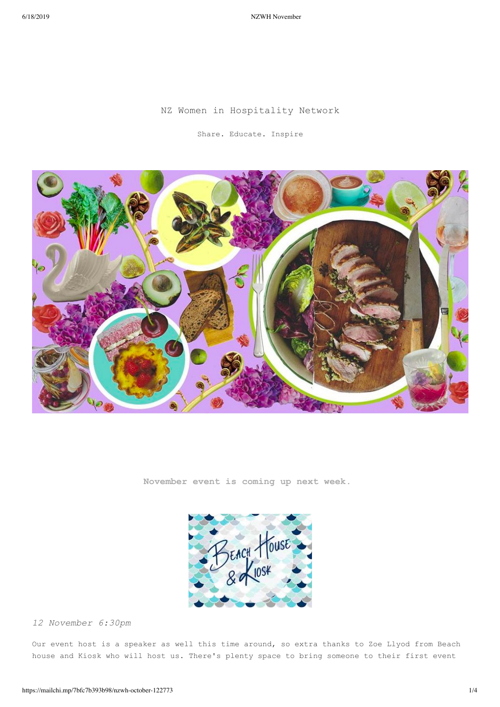6/18/2019 NZWH November

### NZ Women in Hospitality Network

Share. Educate. Inspire



**November event is coming up next week.** 



*12 November 6:30pm*

Our event host is a speaker as well this time around, so extra thanks to Zoe Llyod from Beach house and Kiosk who will host us. There's plenty space to bring someone to their first event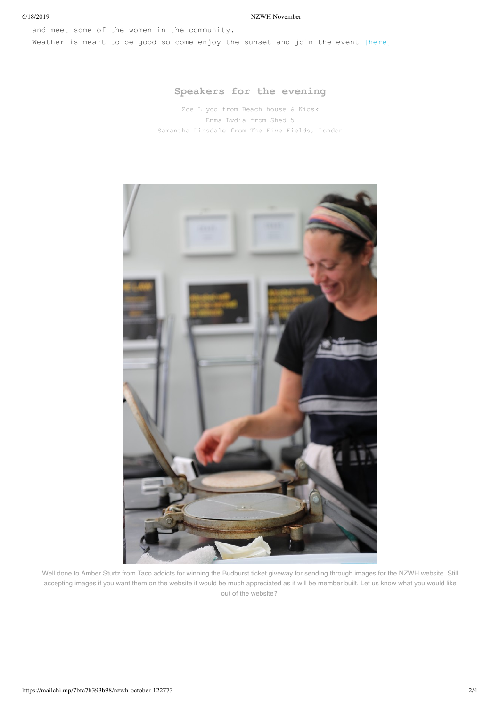#### 6/18/2019 NZWH November

and meet some of the women in the community. Weather is meant to be good so come enjoy the sunset and join the event [here]

## **Speakers for the evening**

Zoe Llyod from Beach house & Kiosk Emma Lydia from Shed 5 Samantha Dinsdale from The Five Fields, London



Well done to Amber Sturtz from Taco addicts for winning the Budburst ticket giveway for sending through images for the NZWH website. Still accepting images if you want them on the website it would be much appreciated as it will be member built. Let us know what you would like out of the website?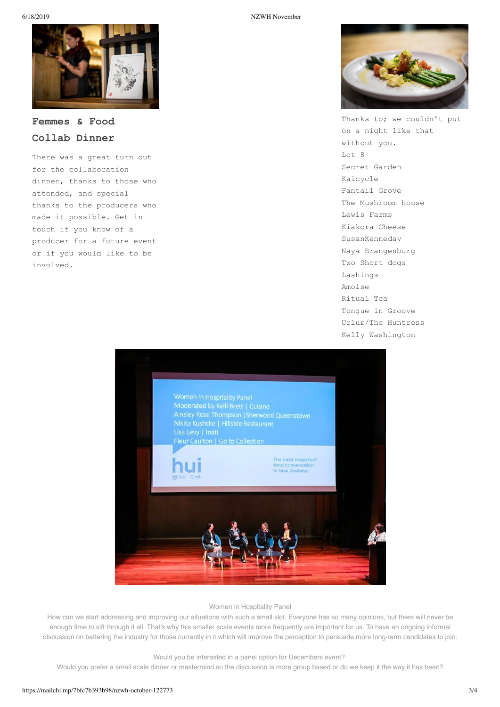

# **Femmes & Food Collab Dinner**

There was a great turn out for the collaboration dinner, thanks to those who attended, and special thanks to the producers who made it possible. Get in touch if you know of a producer for a future event or if you would like to be involved.



Thanks to; we couldn't put on a night like that without you. Lot 8 Secret Garden Kaicycle Fantail Grove The Mushroom house Lewis Farms Kiakora Cheese SusanKenneday Naya Brangenburg Two Short dogs Lashings Amoise Ritual Tea Tongue in Groove Urlur/The Huntress Kelly Washington



Women in Hospitality Panel

How can we start addressing and improving our situations with such a small slot. Everyone has so many opinions, but there will never be enough time to sift through it all. That's why this smaller scale events more frequently are important for us. To have an ongoing informal discussion on bettering the industry for those currently in it which will improve the perception to persuade more long-term candidates to join.

Would you be interested in a panel option for Decembers event?

Would you prefer a small scale dinner or mastermind so the discussion is more group based or do we keep it the way it has been?